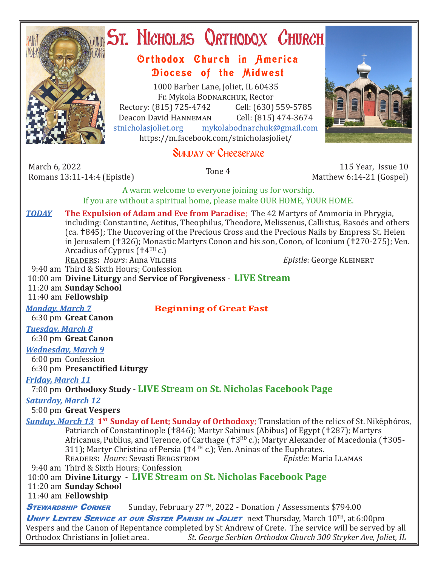

# **ST. NICHOLAS QRTHODOX CHURCH**

# Orthodox Church in America Diocese of the Midwest

1000 Barber Lane, Joliet, IL 60435 Fr. Mykola Bodnarchuk, Rector Rectory: (815) 725-4742 Cell: (630) 559-5785<br>Deacon David HANNEMAN Cell: (815) 474-3674 Deacon David HANNEMAN<br>stnicholasioliet.org mykola mykolabodnarchuk@gmail.com https://m.facebook.com/stnicholasjoliet/

# SUNDAY OF CHEESEFARE

March 6, 2022<br>Romans 13:11-14:4 (Epistle) Romans 13:11-14:4 (Epistle) Tone 4 115 Year, Issue 10 Matthew 6:14-21 (Gospel)

A warm welcome to everyone joining us for worship.

If you are without a spiritual home, please make OUR HOME, YOUR HOME.

*TODAY* **The Expulsion of Adam and Eve from Paradise**; The 42 Martyrs of Ammoria in Phrygia, including: Constantine, Aetitus, Theophilus, Theodore, Melissenus, Callistus, Basoës and others (ca. †845); The Uncovering of the Precious Cross and the Precious Nails by Empress St. Helen in Jerusalem († 326); Monastic Martyrs Conon and his son, Conon, of Iconium († 270-275); Ven. Arcadius of Cyprus ( $\uparrow$ 4<sup>TH</sup> c.) READERS: *Hours*: Anna Vilchis *Epistle*: George KLEINERT

9:40 am Third & Sixth Hours; Confession

- 10:00 am **Divine Liturgy** and **Service of Forgiveness LIVE Stream**
- 11:20 am **Sunday School**

11:40 am **Fellowship**

#### *Monday, March 7* **Beginning of Great Fast**

6:30 pm **Great Canon**

## *Tuesday, March 8*

6:30 pm **Great Canon**

#### *Wednesday, March 9*

6:00 pm Confession

6:30 pm **Presanctified Liturgy**

#### *Friday, March 11*

## 7:00 pm **Orthodoxy Study - LIVE Stream on St. Nicholas Facebook Page**

*Saturday, March 12*

#### 5:00 pm **Great Vespers**

- **Sunday, March 13 1<sup>st</sup> Sunday of Lent; Sunday of Orthodoxy**; Translation of the relics of St. Nikēphóros, Patriarch of Constantinople (†846); Martyr Sabinus (Abibus) of Egypt (†287); Martyrs Africanus, Publius, and Terence, of Carthage ( $\text{t}3\text{R}D$  c.); Martyr Alexander of Macedonia ( $\text{t}305$ -311); Martyr Christina of Persia ( $\tau$ 4<sup>TH</sup> c.); Ven. Aninas of the Euphrates.<br>READERS: *Hours*: Sevasti BERGSTROM *Epistle*: Maria LLAMAS READERS: *Hours*: Sevasti BERGSTROM
- 9:40 am Third & Sixth Hours; Confession

## 10:00 am **Divine Liturgy - LIVE Stream on St. Nicholas Facebook Page**

11:20 am **Sunday School**

11:40 am **Fellowship**

**STEWARDSHIP CORNER** Sunday, February 27<sup>TH</sup>, 2022 - Donation / Assessments \$794.00

UNIFY LENTEN SERVICE AT OUR SISTER PARISH IN JOLIET next Thursday, March 10<sup>TH</sup>, at 6:00pm Vespers and the Canon of Repentance completed by St Andrew of Crete. The service will be served by all Orthodox Christians in Joliet area.<br>Ct. George Serbian Orthodox Church 300 Stryker Ave, Joliet, IL St. George Serbian Orthodox Church 300 Stryker Ave, Joliet, IL